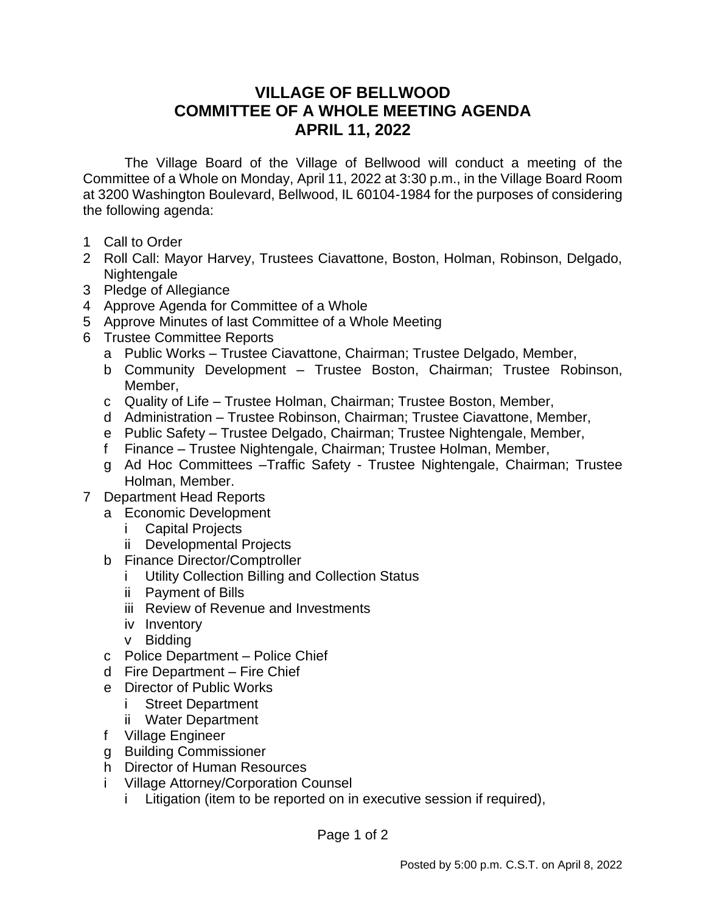## **VILLAGE OF BELLWOOD COMMITTEE OF A WHOLE MEETING AGENDA APRIL 11, 2022**

The Village Board of the Village of Bellwood will conduct a meeting of the Committee of a Whole on Monday, April 11, 2022 at 3:30 p.m., in the Village Board Room at 3200 Washington Boulevard, Bellwood, IL 60104-1984 for the purposes of considering the following agenda:

- 1 Call to Order
- 2 Roll Call: Mayor Harvey, Trustees Ciavattone, Boston, Holman, Robinson, Delgado, Nightengale
- 3 Pledge of Allegiance
- 4 Approve Agenda for Committee of a Whole
- 5 Approve Minutes of last Committee of a Whole Meeting
- 6 Trustee Committee Reports
	- a Public Works Trustee Ciavattone, Chairman; Trustee Delgado, Member,
	- b Community Development Trustee Boston, Chairman; Trustee Robinson, Member,
	- c Quality of Life Trustee Holman, Chairman; Trustee Boston, Member,
	- d Administration Trustee Robinson, Chairman; Trustee Ciavattone, Member,
	- e Public Safety Trustee Delgado, Chairman; Trustee Nightengale, Member,
	- f Finance Trustee Nightengale, Chairman; Trustee Holman, Member,
	- g Ad Hoc Committees –Traffic Safety Trustee Nightengale, Chairman; Trustee Holman, Member.
- 7 Department Head Reports
	- a Economic Development
		- i Capital Projects
		- ii Developmental Projects
	- b Finance Director/Comptroller
		- i Utility Collection Billing and Collection Status
		- ii Payment of Bills
		- iii Review of Revenue and Investments
		- iv Inventory
		- v Bidding
	- c Police Department Police Chief
	- d Fire Department Fire Chief
	- e Director of Public Works
		- i Street Department
		- ii Water Department
	- f Village Engineer
	- g Building Commissioner
	- h Director of Human Resources
	- i Village Attorney/Corporation Counsel
		- i Litigation (item to be reported on in executive session if required),